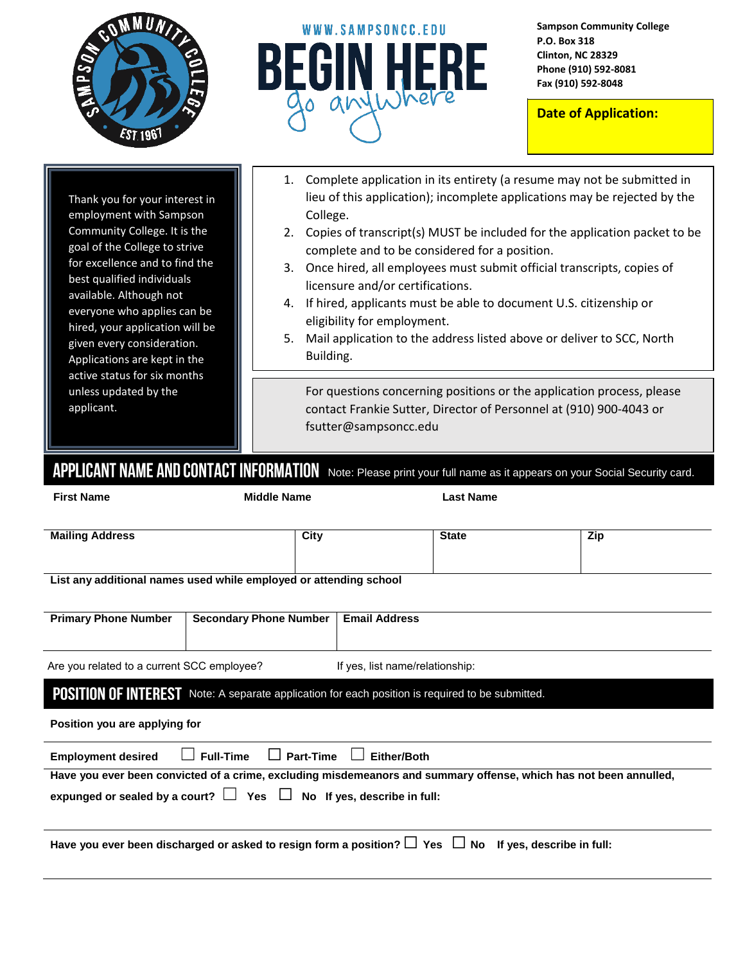



**Sampson Community College P.O. Box 318 Clinton, NC 28329 Phone (910) 592-8081 Fax (910) 592-8048**

**Date of Application:**

Thank you for your interest in employment with Sampson Community College. It is the goal of the College to strive for excellence and to find the best qualified individuals available. Although not everyone who applies can be hired, your application will be given every consideration. Applications are kept in the active status for six months unless updated by the applicant.

| 1. Complete application in its entirety (a resume may not be submitted in |
|---------------------------------------------------------------------------|
| lieu of this application); incomplete applications may be rejected by the |
| College.                                                                  |

- 2. Copies of transcript(s) MUST be included for the application packet to be complete and to be considered for a position.
- 3. Once hired, all employees must submit official transcripts, copies of licensure and/or certifications.
- 4. If hired, applicants must be able to document U.S. citizenship or eligibility for employment.
- 5. Mail application to the address listed above or deliver to SCC, North Building.

For questions concerning positions or the application process, please contact Frankie Sutter, Director of Personnel at (910) 900-4043 or fsutter@sampsoncc.edu

APPLICANT NAME AND CONTACT INFORMATION Note: Please print your full name as it appears on your Social Security card.

| <b>First Name</b>                          | <b>Middle Name</b>                                                                                                |                                 | <b>Last Name</b> |     |  |  |
|--------------------------------------------|-------------------------------------------------------------------------------------------------------------------|---------------------------------|------------------|-----|--|--|
|                                            |                                                                                                                   |                                 |                  |     |  |  |
| <b>Mailing Address</b>                     | City                                                                                                              |                                 | <b>State</b>     | Zip |  |  |
|                                            |                                                                                                                   |                                 |                  |     |  |  |
|                                            | List any additional names used while employed or attending school                                                 |                                 |                  |     |  |  |
|                                            |                                                                                                                   |                                 |                  |     |  |  |
| <b>Primary Phone Number</b>                | <b>Secondary Phone Number</b>                                                                                     | <b>Email Address</b>            |                  |     |  |  |
|                                            |                                                                                                                   |                                 |                  |     |  |  |
| Are you related to a current SCC employee? |                                                                                                                   | If yes, list name/relationship: |                  |     |  |  |
|                                            | <b>POSITION OF INTEREST</b> Note: A separate application for each position is required to be submitted.           |                                 |                  |     |  |  |
| Position you are applying for              |                                                                                                                   |                                 |                  |     |  |  |
| <b>Employment desired</b>                  | <b>Part-Time</b><br><b>Full-Time</b>                                                                              | <b>Either/Both</b>              |                  |     |  |  |
|                                            | Have you ever been convicted of a crime, excluding misdemeanors and summary offense, which has not been annulled, |                                 |                  |     |  |  |
|                                            | expunged or sealed by a court? $\Box$ Yes $\Box$ No If yes, describe in full:                                     |                                 |                  |     |  |  |
|                                            |                                                                                                                   |                                 |                  |     |  |  |
|                                            | Have you ever been discharged or asked to resign form a position? $\Box$ Yes $\Box$ No If yes, describe in full:  |                                 |                  |     |  |  |
|                                            |                                                                                                                   |                                 |                  |     |  |  |
|                                            |                                                                                                                   |                                 |                  |     |  |  |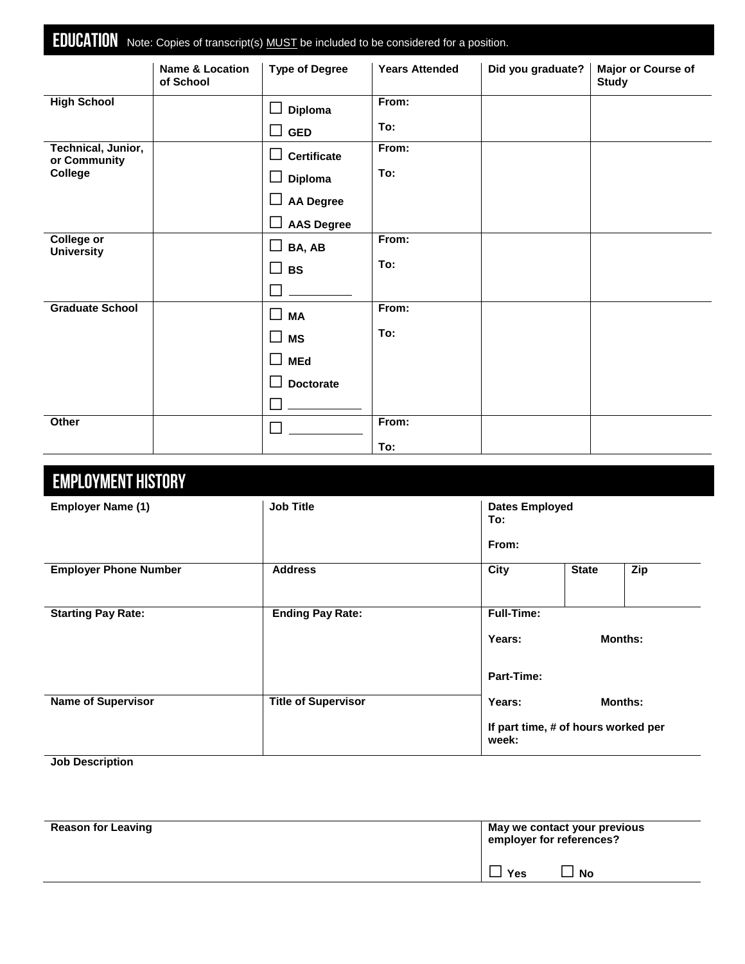|                                        | <b>EDUCATION</b> Note: Copies of transcript(s) MUST be included to be considered for a position. |                                        |                       |                   |                                    |
|----------------------------------------|--------------------------------------------------------------------------------------------------|----------------------------------------|-----------------------|-------------------|------------------------------------|
|                                        | <b>Name &amp; Location</b><br>of School                                                          | <b>Type of Degree</b>                  | <b>Years Attended</b> | Did you graduate? | Major or Course of<br><b>Study</b> |
| <b>High School</b>                     |                                                                                                  | Diploma                                | From:                 |                   |                                    |
|                                        |                                                                                                  | $\overline{\phantom{a}}$<br><b>GED</b> | To:                   |                   |                                    |
| Technical, Junior,<br>or Community     |                                                                                                  | <b>Certificate</b><br>$\Box$           | From:                 |                   |                                    |
| College                                |                                                                                                  | Diploma<br>$\Box$                      | To:                   |                   |                                    |
|                                        |                                                                                                  | <b>AA Degree</b>                       |                       |                   |                                    |
|                                        |                                                                                                  | <b>AAS Degree</b>                      |                       |                   |                                    |
| <b>College or</b><br><b>University</b> |                                                                                                  | BA, AB<br>ш                            | From:                 |                   |                                    |
|                                        |                                                                                                  | $\mathcal{L}$<br><b>BS</b>             | To:                   |                   |                                    |
|                                        |                                                                                                  |                                        |                       |                   |                                    |
| <b>Graduate School</b>                 |                                                                                                  | $\Box$<br><b>MA</b>                    | From:                 |                   |                                    |
|                                        |                                                                                                  | $\Box$<br><b>MS</b>                    | To:                   |                   |                                    |
|                                        |                                                                                                  | $\Box$<br><b>MEd</b>                   |                       |                   |                                    |
|                                        |                                                                                                  | <b>Doctorate</b>                       |                       |                   |                                    |
|                                        |                                                                                                  |                                        |                       |                   |                                    |
| Other                                  |                                                                                                  | $\blacksquare$                         | From:                 |                   |                                    |
|                                        |                                                                                                  |                                        | To:                   |                   |                                    |

| <b>EMPLOYMENT HISTORY</b>    |                            |                              |                                     |                |
|------------------------------|----------------------------|------------------------------|-------------------------------------|----------------|
| <b>Employer Name (1)</b>     | <b>Job Title</b>           | <b>Dates Employed</b><br>To: |                                     |                |
|                              |                            | From:                        |                                     |                |
| <b>Employer Phone Number</b> | <b>Address</b>             | City                         | <b>State</b>                        | Zip            |
| <b>Starting Pay Rate:</b>    | <b>Ending Pay Rate:</b>    | <b>Full-Time:</b>            |                                     |                |
|                              |                            | Years:                       |                                     | <b>Months:</b> |
|                              |                            | Part-Time:                   |                                     |                |
| <b>Name of Supervisor</b>    | <b>Title of Supervisor</b> | Years:                       |                                     | Months:        |
|                              |                            | week:                        | If part time, # of hours worked per |                |

**Job Description**

| <b>Reason for Leaving</b> |     | May we contact your previous<br>employer for references? |
|---------------------------|-----|----------------------------------------------------------|
|                           | Yes | <b>No</b>                                                |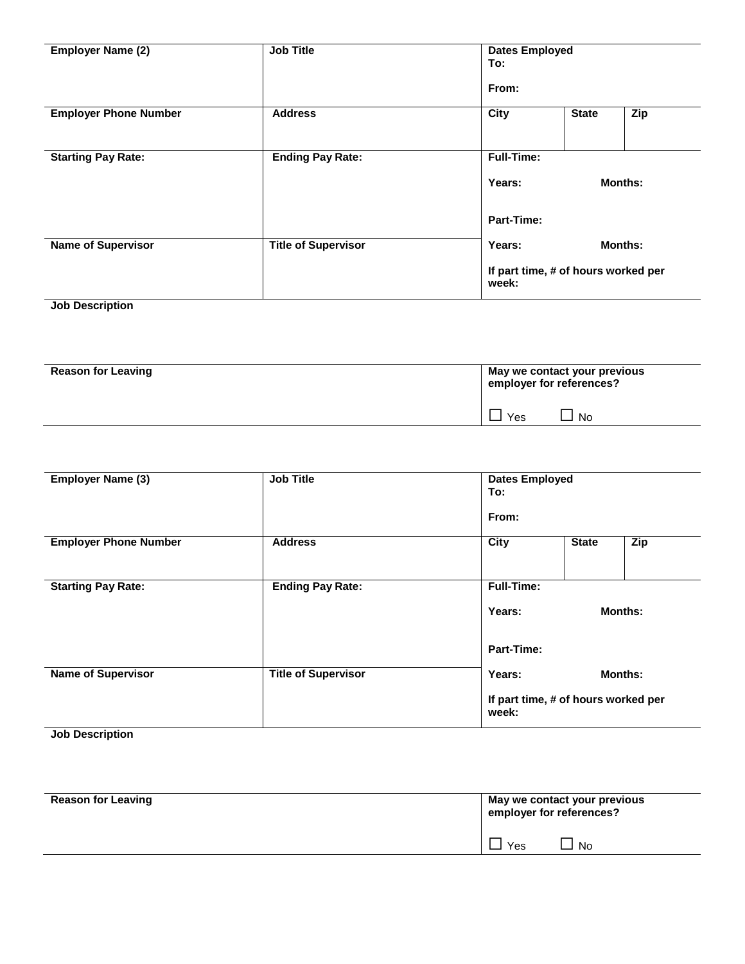| <b>Employer Name (2)</b>     | <b>Job Title</b>           | To:                                          | <b>Dates Employed</b> |     |  |  |
|------------------------------|----------------------------|----------------------------------------------|-----------------------|-----|--|--|
|                              |                            | From:                                        |                       |     |  |  |
| <b>Employer Phone Number</b> | <b>Address</b>             | City                                         | <b>State</b>          | Zip |  |  |
| <b>Starting Pay Rate:</b>    | <b>Ending Pay Rate:</b>    | <b>Full-Time:</b>                            |                       |     |  |  |
|                              |                            | Years:                                       | <b>Months:</b>        |     |  |  |
|                              |                            | Part-Time:                                   |                       |     |  |  |
| <b>Name of Supervisor</b>    | <b>Title of Supervisor</b> | Years:                                       | <b>Months:</b>        |     |  |  |
|                              |                            | If part time, # of hours worked per<br>week: |                       |     |  |  |

#### **Job Description**

| <b>Reason for Leaving</b> | May we contact your previous<br>employer for references? |     |
|---------------------------|----------------------------------------------------------|-----|
|                           | Yes                                                      | No. |

| <b>Employer Name (3)</b>     | <b>Job Title</b>           | <b>Dates Employed</b><br>To:                 |              |                |
|------------------------------|----------------------------|----------------------------------------------|--------------|----------------|
|                              |                            | From:                                        |              |                |
| <b>Employer Phone Number</b> | <b>Address</b>             | City                                         | <b>State</b> | Zip            |
| <b>Starting Pay Rate:</b>    | <b>Ending Pay Rate:</b>    | <b>Full-Time:</b><br>Years:                  |              | <b>Months:</b> |
| <b>Name of Supervisor</b>    | <b>Title of Supervisor</b> | Part-Time:<br>Years:                         |              | <b>Months:</b> |
|                              |                            | If part time, # of hours worked per<br>week: |              |                |

**Job Description**

| <b>Reason for Leaving</b> | May we contact your previous<br>employer for references? |           |
|---------------------------|----------------------------------------------------------|-----------|
|                           | Yes                                                      | <b>No</b> |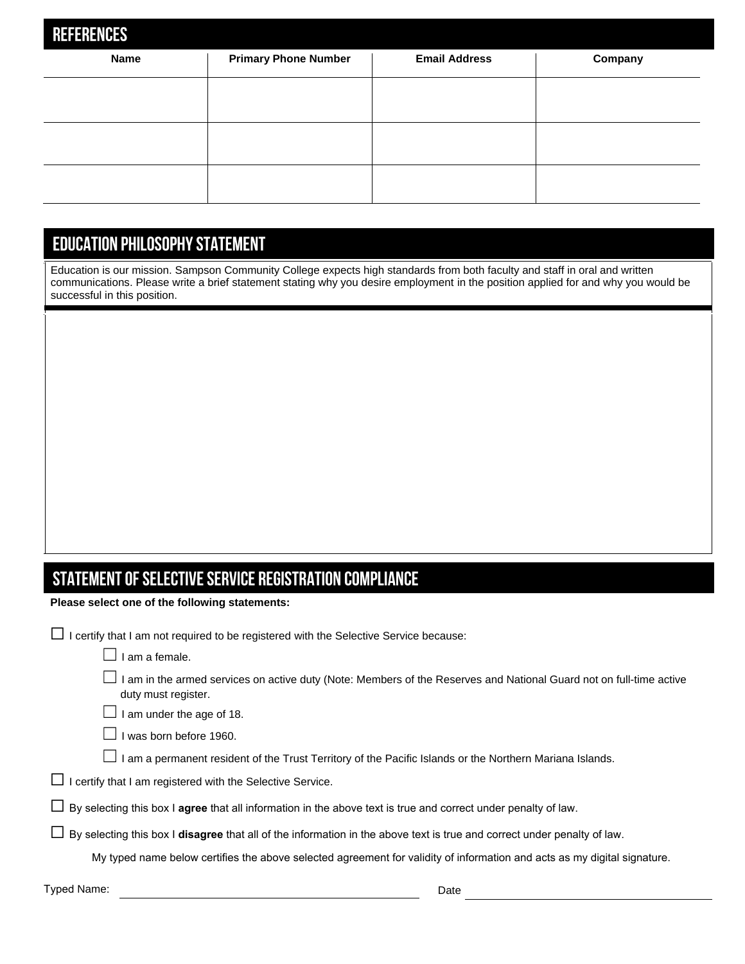| <b>REFERENCES</b> |                             |                      |         |  |  |  |  |  |
|-------------------|-----------------------------|----------------------|---------|--|--|--|--|--|
| <b>Name</b>       | <b>Primary Phone Number</b> | <b>Email Address</b> | Company |  |  |  |  |  |
|                   |                             |                      |         |  |  |  |  |  |
|                   |                             |                      |         |  |  |  |  |  |
|                   |                             |                      |         |  |  |  |  |  |
|                   |                             |                      |         |  |  |  |  |  |
|                   |                             |                      |         |  |  |  |  |  |

### **EDUCATION PHILOSOPHY STATEMENT**

Education is our mission. Sampson Community College expects high standards from both faculty and staff in oral and written communications. Please write a brief statement stating why you desire employment in the position applied for and why you would be successful in this position.

# STATEMENT OF SELECTIVE SERVICE REGISTRATION COMPLIANCE

**Please select one of the following statements:** 

|  |  |  | $\Box$ I certify that I am not required to be registered with the Selective Service because: |
|--|--|--|----------------------------------------------------------------------------------------------|
|--|--|--|----------------------------------------------------------------------------------------------|

- $\Box$  I am a female.
- ☐ I am in the armed services on active duty (Note: Members of the Reserves and National Guard not on full-time active duty must register.

 $\Box$  I am under the age of 18.

 $\Box$  I was born before 1960.

- $\Box$  I am a permanent resident of the Trust Territory of the Pacific Islands or the Northern Mariana Islands.
- $\Box$  I certify that I am registered with the Selective Service.
- ☐ By selecting this box I **agree** that all information in the above text is true and correct under penalty of law.

☐ By selecting this box I **disagree** that all of the information in the above text is true and correct under penalty of law.

My typed name below certifies the above selected agreement for validity of information and acts as my digital signature.

Typed Name: Date Communication of the Communication of the Date Date